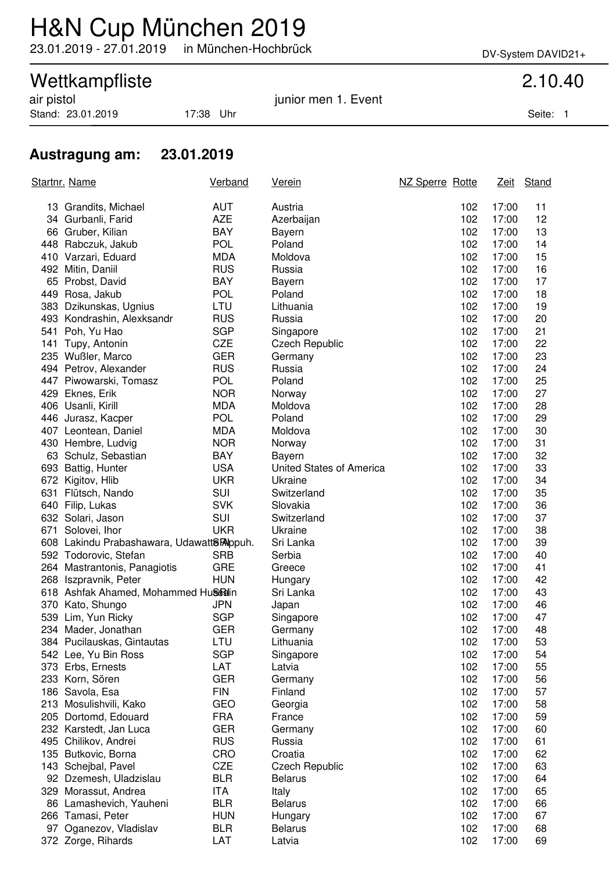## H&N Cup München 2019

23.01.2019 - 27.01.2019 in München-Hochbrück DV-System DAVID21+

### Wettkampfliste 2.10.40

Stand: 23.01.2019 17:38 Uhr Seite: 1

air pistol in the same state of the set of the set of the set of the set of the set of the set of the set of t

### **Austragung am: 23.01.2019**

|     | <u>Startnr. Name</u>                      | <b>Verband</b> | <u>Verein</u>            | NZ Sperre Rotte |       | Zeit Stand |
|-----|-------------------------------------------|----------------|--------------------------|-----------------|-------|------------|
|     | 13 Grandits, Michael                      | <b>AUT</b>     | Austria                  | 102             | 17:00 | 11         |
|     | 34 Gurbanli, Farid                        | <b>AZE</b>     | Azerbaijan               | 102             | 17:00 | 12         |
|     | 66 Gruber, Kilian                         | <b>BAY</b>     | Bayern                   | 102             | 17:00 | 13         |
|     | 448 Rabczuk, Jakub                        | <b>POL</b>     | Poland                   | 102             | 17:00 | 14         |
|     | 410 Varzari, Eduard                       | <b>MDA</b>     | Moldova                  | 102             | 17:00 | 15         |
|     | 492 Mitin, Daniil                         | <b>RUS</b>     | Russia                   | 102             | 17:00 | 16         |
|     | 65 Probst, David                          | <b>BAY</b>     | Bayern                   | 102             | 17:00 | 17         |
|     | 449 Rosa, Jakub                           | <b>POL</b>     | Poland                   | 102             | 17:00 | 18         |
|     | 383 Dzikunskas, Ugnius                    | LTU            | Lithuania                | 102             | 17:00 | 19         |
|     | 493 Kondrashin, Alexksandr                | <b>RUS</b>     | Russia                   | 102             | 17:00 | 20         |
|     | 541 Poh, Yu Hao                           | <b>SGP</b>     | Singapore                | 102             | 17:00 | 21         |
| 141 | Tupy, Antonin                             | <b>CZE</b>     | <b>Czech Republic</b>    | 102             | 17:00 | 22         |
|     | 235 Wußler, Marco                         | <b>GER</b>     | Germany                  | 102             | 17:00 | 23         |
|     | 494 Petrov, Alexander                     | <b>RUS</b>     | Russia                   | 102             | 17:00 | 24         |
|     | 447 Piwowarski, Tomasz                    | <b>POL</b>     | Poland                   | 102             | 17:00 | 25         |
|     | 429 Eknes, Erik                           | <b>NOR</b>     | Norway                   | 102             | 17:00 | 27         |
|     | 406 Usanli, Kirill                        | <b>MDA</b>     | Moldova                  | 102             | 17:00 | 28         |
|     | 446 Jurasz, Kacper                        | <b>POL</b>     | Poland                   | 102             | 17:00 | 29         |
|     | 407 Leontean, Daniel                      | <b>MDA</b>     | Moldova                  | 102             | 17:00 | 30         |
|     | 430 Hembre, Ludvig                        | <b>NOR</b>     | Norway                   | 102             | 17:00 | 31         |
|     | 63 Schulz, Sebastian                      | <b>BAY</b>     | Bayern                   | 102             | 17:00 | 32         |
|     | 693 Battig, Hunter                        | <b>USA</b>     | United States of America | 102             | 17:00 | 33         |
|     | 672 Kigitov, Hlib                         | <b>UKR</b>     | Ukraine                  | 102             | 17:00 | 34         |
|     | 631 Flütsch, Nando                        | <b>SUI</b>     | Switzerland              | 102             | 17:00 | 35         |
|     | 640 Filip, Lukas                          | <b>SVK</b>     | Slovakia                 | 102             | 17:00 | 36         |
|     | 632 Solari, Jason                         | <b>SUI</b>     | Switzerland              | 102             | 17:00 | 37         |
|     | 671 Solovei, Ihor                         | <b>UKR</b>     | Ukraine                  | 102             | 17:00 | 38         |
|     | 608 Lakindu Prabashawara, Udawatt8Rappuh. |                | Sri Lanka                | 102             | 17:00 | 39         |
|     | 592 Todorovic, Stefan                     | <b>SRB</b>     | Serbia                   | 102             | 17:00 | 40         |
|     | 264 Mastrantonis, Panagiotis              | <b>GRE</b>     | Greece                   | 102             | 17:00 | 41         |
|     | 268 Iszpravnik, Peter                     | <b>HUN</b>     | Hungary                  | 102             | 17:00 | 42         |
|     | 618 Ashfak Ahamed, Mohammed Hussain       |                | Sri Lanka                | 102             | 17:00 | 43         |
|     | 370 Kato, Shungo                          | <b>JPN</b>     | Japan                    | 102             | 17:00 | 46         |
|     | 539 Lim, Yun Ricky                        | <b>SGP</b>     | Singapore                | 102             | 17:00 | 47         |
|     | 234 Mader, Jonathan                       | <b>GER</b>     | Germany                  | 102             | 17:00 | 48         |
|     | 384 Pucilauskas, Gintautas                | LTU            | Lithuania                | 102             | 17:00 | 53         |
|     | 542 Lee, Yu Bin Ross                      | <b>SGP</b>     | Singapore                | 102             | 17:00 | 54         |
|     | 373 Erbs, Ernests                         | LAT            | Latvia                   | 102             | 17:00 | 55         |
|     | 233 Korn, Sören                           | <b>GER</b>     | Germany                  | 102             | 17:00 | 56         |
|     | 186 Savola, Esa                           | <b>FIN</b>     | Finland                  | 102             | 17:00 | 57         |
|     | 213 Mosulishvili, Kako                    | GEO            | Georgia                  | 102             | 17:00 | 58         |
|     | 205 Dortomd, Edouard                      | <b>FRA</b>     | France                   | 102             | 17:00 | 59         |
|     | 232 Karstedt, Jan Luca                    | <b>GER</b>     | Germany                  | 102             | 17:00 | 60         |
|     | 495 Chilikov, Andrei                      | <b>RUS</b>     | Russia                   | 102             | 17:00 | 61         |
|     | 135 Butkovic, Borna                       | CRO            | Croatia                  | 102             | 17:00 | 62         |
|     | 143 Schejbal, Pavel                       | <b>CZE</b>     | <b>Czech Republic</b>    | 102             | 17:00 | 63         |
|     | 92 Dzemesh, Uladzislau                    | <b>BLR</b>     | Belarus                  | 102             | 17:00 | 64         |
|     | 329 Morassut, Andrea                      | ITA            | Italy                    | 102             | 17:00 | 65         |
|     | 86 Lamashevich, Yauheni                   | <b>BLR</b>     | <b>Belarus</b>           | 102             | 17:00 | 66         |
|     | 266 Tamasi, Peter                         | <b>HUN</b>     | Hungary                  | 102             | 17:00 | 67         |
| 97  | Oganezov, Vladislav                       | <b>BLR</b>     | <b>Belarus</b>           | 102             | 17:00 | 68         |
|     | 372 Zorge, Rihards                        | LAT            | Latvia                   | 102             | 17:00 | 69         |